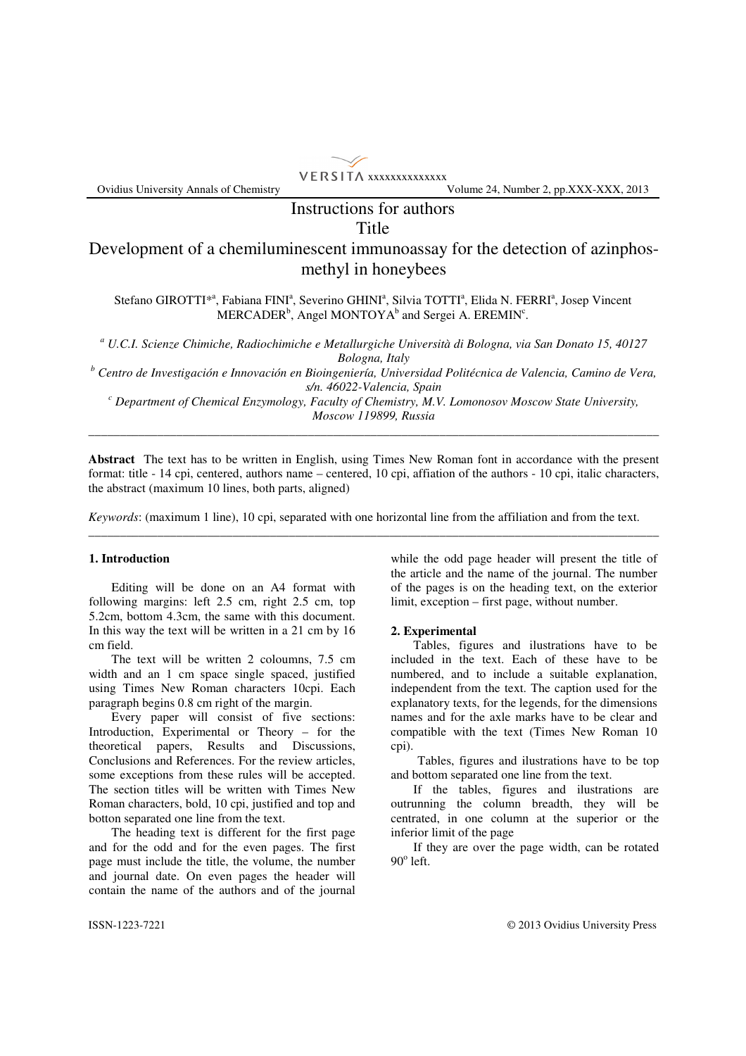

Ovidius University Annals of Chemistry Volume 24, Number 2, pp.XXX-XXX, 2013

## Instructions for authors Title

# Development of a chemiluminescent immunoassay for the detection of azinphosmethyl in honeybees

Stefano GIROTTI\*<sup>a</sup>, Fabiana FINI<sup>a</sup>, Severino GHINI<sup>a</sup>, Silvia TOTTI<sup>a</sup>, Elida N. FERRI<sup>a</sup>, Josep Vincent MERCADER<sup>b</sup>, Angel MONTOYA<sup>b</sup> and Sergei A. EREMIN<sup>c</sup>.

*a U.C.I. Scienze Chimiche, Radiochimiche e Metallurgiche Università di Bologna, via San Donato 15, 40127 Bologna, Italy* 

*b Centro de Investigación e Innovación en Bioingeniería, Universidad Politécnica de Valencia, Camino de Vera, s/n. 46022-Valencia, Spain* 

*c Department of Chemical Enzymology, Faculty of Chemistry, M.V. Lomonosov Moscow State University, Moscow 119899, Russia* \_\_\_\_\_\_\_\_\_\_\_\_\_\_\_\_\_\_\_\_\_\_\_\_\_\_\_\_\_\_\_\_\_\_\_\_\_\_\_\_\_\_\_\_\_\_\_\_\_\_\_\_\_\_\_\_\_\_\_\_\_\_\_\_\_\_\_\_\_\_\_\_\_\_\_\_\_\_\_\_\_\_\_\_\_\_\_\_\_\_\_

**Abstract** The text has to be written in English, using Times New Roman font in accordance with the present format: title - 14 cpi, centered, authors name – centered, 10 cpi, affiation of the authors - 10 cpi, italic characters, the abstract (maximum 10 lines, both parts, aligned)

\_\_\_\_\_\_\_\_\_\_\_\_\_\_\_\_\_\_\_\_\_\_\_\_\_\_\_\_\_\_\_\_\_\_\_\_\_\_\_\_\_\_\_\_\_\_\_\_\_\_\_\_\_\_\_\_\_\_\_\_\_\_\_\_\_\_\_\_\_\_\_\_\_\_\_\_\_\_\_\_\_\_\_\_\_\_\_\_\_\_\_

*Keywords*: (maximum 1 line), 10 cpi, separated with one horizontal line from the affiliation and from the text.

## **1. Introduction**

 Editing will be done on an A4 format with following margins: left 2.5 cm, right 2.5 cm, top 5.2cm, bottom 4.3cm, the same with this document. In this way the text will be written in a 21 cm by 16 cm field.

 The text will be written 2 coloumns, 7.5 cm width and an 1 cm space single spaced, justified using Times New Roman characters 10cpi. Each paragraph begins 0.8 cm right of the margin.

 Every paper will consist of five sections: Introduction, Experimental or Theory – for the theoretical papers, Results and Discussions, Conclusions and References. For the review articles, some exceptions from these rules will be accepted. The section titles will be written with Times New Roman characters, bold, 10 cpi, justified and top and botton separated one line from the text.

 The heading text is different for the first page and for the odd and for the even pages. The first page must include the title, the volume, the number and journal date. On even pages the header will contain the name of the authors and of the journal while the odd page header will present the title of the article and the name of the journal. The number of the pages is on the heading text, on the exterior limit, exception – first page, without number.

#### **2. Experimental**

 Tables, figures and ilustrations have to be included in the text. Each of these have to be numbered, and to include a suitable explanation, independent from the text. The caption used for the explanatory texts, for the legends, for the dimensions names and for the axle marks have to be clear and compatible with the text (Times New Roman 10 cpi).

 Tables, figures and ilustrations have to be top and bottom separated one line from the text.

 If the tables, figures and ilustrations are outrunning the column breadth, they will be centrated, in one column at the superior or the inferior limit of the page

 If they are over the page width, can be rotated  $90^{\circ}$  left.